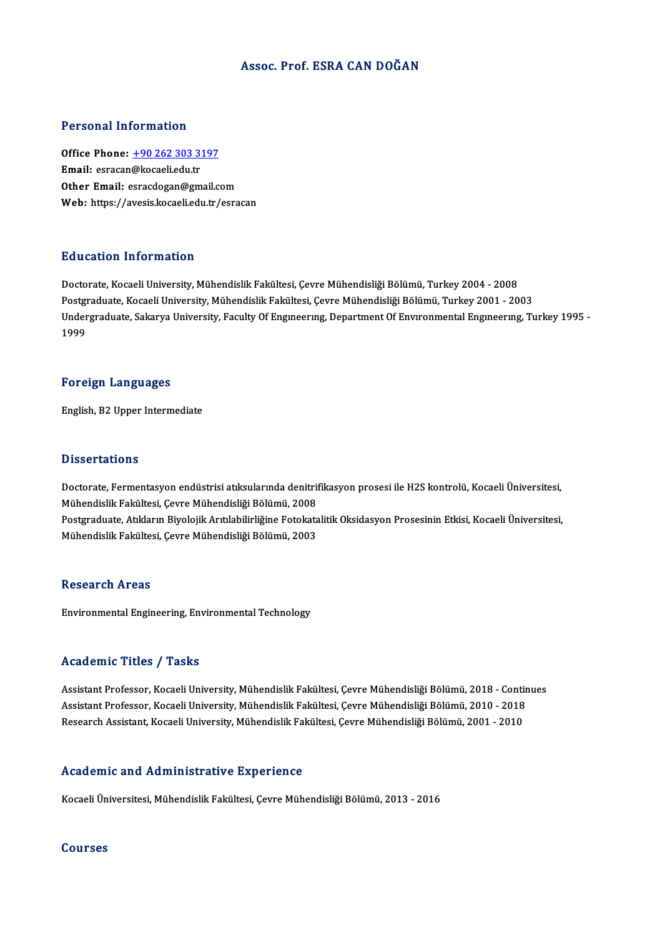## Assoc. Prof. ESRA CAN DOĞAN

## Personal Information

Personal Information<br>Office Phone: <u>+90 262 303 3197</u><br>Email: estacen@kecaeliedu.tr Fersonar micrimation<br>Office Phone: <u>+90 262 303 3:</u><br>Email: esracan[@kocaeli.edu.tr](tel:+90 262 303 3197) Email: esracan@kocaeli.edu.tr<br>Other Email: esracdogan@gmail.com Web: https://avesis.kocaeli.edu.tr/esracan

## Education Information

Doctorate, Kocaeli University, Mühendislik Fakültesi, Çevre Mühendisliği Bölümü, Turkey 2004 - 2008 Pu u sutrom minominusion<br>Doctorate, Kocaeli University, Mühendislik Fakültesi, Çevre Mühendisliği Bölümü, Turkey 2004 - 2008<br>Postgraduate, Kocaeli University, Mühendislik Fakültesi, Çevre Mühendisliği Bölümü, Turkey 2001 -Undergraduate, Sakarya University, Faculty Of Engıneerıng, Department Of Envıronmental Engıneerıng, Turkey 1995 -<br>1999 Postgi<br>Under<br>1999

#### Foreign Languages

English,B2Upper Intermediate

## **Dissertations**

Doctorate, Fermentasyon endüstrisi atıksularında denitrifikasyon prosesi ile H2S kontrolü, Kocaeli Üniversitesi, D'issor tatroms<br>Doctorate, Fermentasyon endüstrisi atıksularında denitril<br>Mühendislik Fakültesi, Çevre Mühendisliği Bölümü, 2008<br>Postaraduata, Atıkların Biyolojik Arıtılabilirliğine Estekata Postgraduate, Atıkların Biyolojik Arıtılabilirliğine Fotokatalitik Oksidasyon Prosesinin Etkisi, Kocaeli Üniversitesi,<br>Mühendislik Fakültesi, Çevre Mühendisliği Bölümü, 2003 Mühendislik Fakültesi, Çevre Mühendisliği Bölümü, 2008<br>Postgraduate, Atıkların Biyolojik Arıtılabilirliğine Fotokatz<br>Mühendislik Fakültesi, Çevre Mühendisliği Bölümü, 2003

## **Research Areas**

Environmental Engineering, Environmental Technology

## Academic Titles / Tasks

Academic Titles / Tasks<br>Assistant Professor, Kocaeli University, Mühendislik Fakültesi, Çevre Mühendisliği Bölümü, 2018 - Continues<br>Assistant Professor, Kosaeli University, Mühendislik Fakültesi, Çevre Mühendisliği Bölümü, 110aa SIII - 11008 7 - 12010<br>Assistant Professor, Kocaeli University, Mühendislik Fakültesi, Çevre Mühendisliği Bölümü, 2018 - Contir<br>Besearsh Assistant, Kosaeli University, Mühendislik Fakültesi, Çevre Mühendisliği Bölümü Assistant Professor, Kocaeli University, Mühendislik Fakültesi, Çevre Mühendisliği Bölümü, 2010 - 2018<br>Research Assistant, Kocaeli University, Mühendislik Fakültesi, Çevre Mühendisliği Bölümü, 2001 - 2010

## Academic and Administrative Experience

Kocaeli Üniversitesi, Mühendislik Fakültesi, Çevre Mühendisliği Bölümü, 2013 - 2016

#### Courses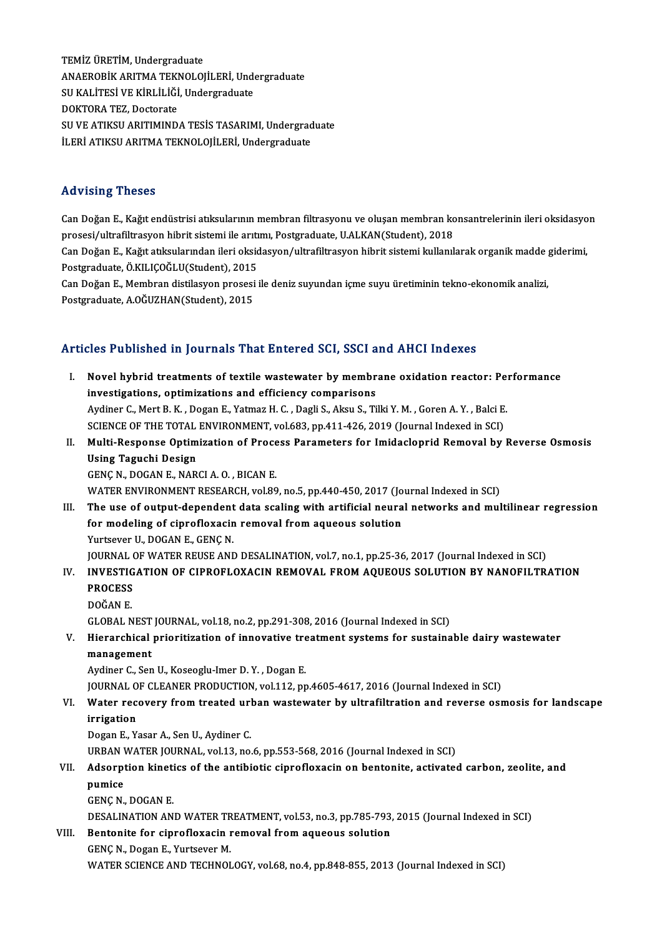TEMİZ ÜRETİM, Undergraduate TEMİZ ÜRETİM, Undergraduate<br>ANAEROBİK ARITMA TEKNOLOJİLERİ, Undergraduate<br>SU KALİTESİ VE KİPLİLİĞİ, Undergraduate TEMİZ ÜRETİM, Undergraduate<br>ANAEROBİK ARITMA TEKNOLOJİLERİ, Unde<br>SU KALİTESİ VE KİRLİLİĞİ, Undergraduate<br>DOKTOBA TEZ-Dostanata ANAEROBİK ARITMA TEKI<br>SU KALİTESİ VE KİRLİLİĞİ<br>DOKTORA TEZ, Doctorate<br>SU VE ATIKSU ARITMIND SU KALİTESİ VE KİRLİLİĞİ, Undergraduate<br>DOKTORA TEZ, Doctorate<br>SU VE ATIKSU ARITIMINDA TESİS TASARIMI, Undergraduate İLERİ ATIKSU ARITMA TEKNOLOJİLERİ, Undergraduate

## Advising Theses

Can Doğan E., Kağıt endüstrisi atıksularının membran filtrasyonu ve oluşan membran konsantrelerinin ileri oksidasyon rta vising "risses"<br>Can Doğan E., Kağıt endüstrisi atıksularının membran filtrasyonu ve oluşan membran ko<br>prosesi/ultrafiltrasyon hibrit sistemi ile arıtımı, Postgraduate, U.ALKAN(Student), 2018<br>Can Doğan E. Kağıt atıksula Can Doğan E., Kağıt endüstrisi atıksularının membran filtrasyonu ve oluşan membran konsantrelerinin ileri oksidasyo<br>prosesi/ultrafiltrasyon hibrit sistemi ile arıtımı, Postgraduate, U.ALKAN(Student), 2018<br>Can Doğan E., Kağ prosesi/ultrafiltrasyon hibrit sistemi ile arıtı<br>Can Doğan E., Kağıt atıksularından ileri oksid<br>Postgraduate, Ö.KILIÇOĞLU(Student), 2015<br>Can Doğan E. Mambran distilasyon prosesi Can Doğan E., Kağıt atıksularından ileri oksidasyon/ultrafiltrasyon hibrit sistemi kullanılarak organik madde<br>Postgraduate, Ö.KILIÇOĞLU(Student), 2015<br>Can Doğan E., Membran distilasyon prosesi ile deniz suyundan içme suyu Postgraduate, Ö.KILIÇOĞLU(Student), 2015<br>Can Doğan E., Membran distilasyon prosesi ile deniz suyundan içme suyu üretiminin tekno-ekonomik analizi,<br>Postgraduate, A.OĞUZHAN(Student), 2015

## Articles Published in Journals That Entered SCI, SSCI and AHCI Indexes

- I. Novel hybrid treatments of textile wastewater by membrane oxidation reactor: Performance investigations, optimizations and efficiency comparisons Novel hybrid treatments of textile wastewater by membrane oxidation reactor: Pe:<br>investigations, optimizations and efficiency comparisons<br>Aydiner C., Mert B. K. , Dogan E., Yatmaz H. C. , Dagli S., Aksu S., Tilki Y. M. , G investigations, optimizations and efficiency comparisons<br>Aydiner C., Mert B. K. , Dogan E., Yatmaz H. C. , Dagli S., Aksu S., Tilki Y. M. , Goren A. Y. , Balci E.<br>SCIENCE OF THE TOTAL ENVIRONMENT, vol.683, pp.411-426, 2019 Aydiner C., Mert B. K. , Dogan E., Yatmaz H. C. , Dagli S., Aksu S., Tilki Y. M. , Goren A. Y. , Balci E.<br>SCIENCE OF THE TOTAL ENVIRONMENT, vol.683, pp.411-426, 2019 (Journal Indexed in SCI)<br>II. Multi-Response Optimization
- SCIENCE OF THE TOTAL ENVIRONMENT, vol.683, pp.411-426, 2019 (Journal Indexed in SCI)<br>Multi-Response Optimization of Process Parameters for Imidacloprid Removal by<br>Using Taguchi Design<br>GENC N., DOGAN E., NARCI A.O., BICAN E Multi-Response Optimization of Proce<br>Using Taguchi Design<br>GENÇ N., DOGAN E., NARCI A.O. , BICAN E.<br>WATER ENVIRONMENT RESEARCH vol 90 WATER ENVIRONMENT RESEARCH, vol.89, no.5, pp.440-450, 2017 (Journal Indexed in SCI) GENÇ N., DOGAN E., NARCI A. O. , BICAN E.<br>WATER ENVIRONMENT RESEARCH, vol.89, no.5, pp.440-450, 2017 (Journal Indexed in SCI)<br>III. The use of output-dependent data scaling with artificial neural networks and multilinear re
- WATER ENVIRONMENT RESEARCH, vol.89, no.5, pp.440-450, 2017 (Jo<br>The use of output-dependent data scaling with artificial neura<br>for modeling of ciprofloxacin removal from aqueous solution<br>Yurtsever U. DOCAN E. CENC N The use of output-dependent<br>for modeling of ciprofloxacin<br>Yurtsever U., DOGAN E., GENÇ N.<br>JOUPMAL OF WATED DEUSE AND for modeling of ciprofloxacin removal from aqueous solution<br>Yurtsever U., DOGAN E., GENÇ N.<br>JOURNAL OF WATER REUSE AND DESALINATION, vol.7, no.1, pp.25-36, 2017 (Journal Indexed in SCI) Yurtsever U., DOGAN E., GENÇ N.<br>JOURNAL OF WATER REUSE AND DESALINATION, vol.7, no.1, pp.25-36, 2017 (Journal Indexed in SCI)<br>IV. INVESTIGATION OF CIPROFLOXACIN REMOVAL FROM AQUEOUS SOLUTION BY NANOFILTRATION<br>PROCESS

JOURNAL<br>I<mark>NVESTIG</mark><br>PROCESS<br>DOČAN E INVESTIG<br>PROCESS<br>DOĞAN E.<br>CLOBAL N

- 
- 

PROCESS<br>DOĞAN E.<br>GLOBAL NEST JOURNAL, vol.18, no.2, pp.291-308, 2016 (Journal Indexed in SCI)

## DOĞAN E.<br>GLOBAL NEST JOURNAL, vol.18, no.2, pp.291-308, 2016 (Journal Indexed in SCI)<br>V. Hierarchical prioritization of innovative treatment systems for sustainable dairy wastewater<br>managament GLOBAL NEST<br>Hierarchical<br>management<br>Avdiner C. Sen Hierarchical prioritization of innovative tre<br>management<br>Aydiner C., Sen U., Koseoglu-Imer D. Y. , Dogan E.<br>JOUPMAL OF CLEANER RRODUCTION, vol.112, pp management<br>Aydiner C., Sen U., Koseoglu-Imer D. Y. , Dogan E.<br>JOURNAL OF CLEANER PRODUCTION, vol.112, pp.4605-4617, 2016 (Journal Indexed in SCI)<br>Water resouery from treated urban westswater by ultrefiltration and reverse

## Aydiner C., Sen U., Koseoglu-Imer D. Y. , Dogan E.<br>JOURNAL OF CLEANER PRODUCTION, vol.112, pp.4605-4617, 2016 (Journal Indexed in SCI)<br>VI. Water recovery from treated urban wastewater by ultrafiltration and reverse osmosis JOURNAL O<br>Water reception<br>irrigation<br>Dogan E. V.

DoganE.,YasarA.,SenU.,Aydiner C.

URBAN WATER JOURNAL, vol.13, no.6, pp.553-568, 2016 (Journal Indexed in SCI)

## Dogan E., Yasar A., Sen U., Aydiner C.<br>URBAN WATER JOURNAL, vol.13, no.6, pp.553-568, 2016 (Journal Indexed in SCI)<br>VII. Adsorption kinetics of the antibiotic ciprofloxacin on bentonite, activated carbon, zeolite, and<br> pumice<br>GENÇ N., DOGAN E. Adsorption kineti<br>pumice<br>GENÇ N., DOGAN E.<br>DESALINATION AN

DESALINATION AND WATER TREATMENT, vol.53, no.3, pp.785-793, 2015 (Journal Indexed in SCI) GENÇ N., DOGAN E.<br>DESALINATION AND WATER TREATMENT, vol.53, no.3, pp.785-793,<br>VIII. Bentonite for ciprofloxacin removal from aqueous solution

## DESALINATION AND WATER TR<br>Bentonite for ciprofloxacin I<br>GENÇ N., Dogan E., Yurtsever M.<br>WATER SCIENCE AND TECHNOL GENÇ N., Dogan E., Yurtsever M.<br>WATER SCIENCE AND TECHNOLOGY, vol.68, no.4, pp.848-855, 2013 (Journal Indexed in SCI)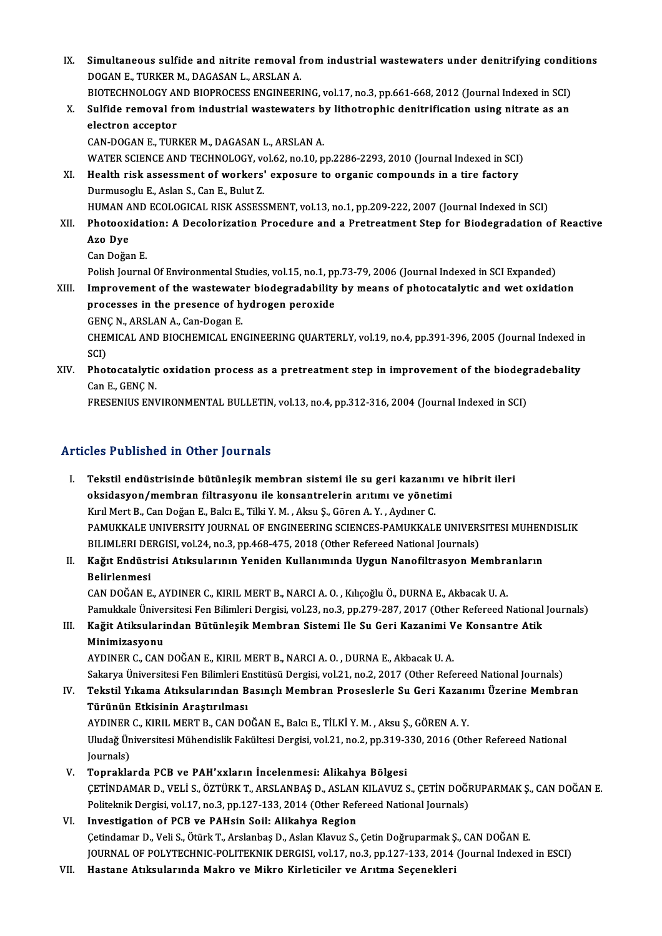IX. Simultaneous sulfide and nitrite removal from industrial wastewaters under denitrifying conditions<br>ROCAN E. TURKER M. RACASAN L. ARSLAN A Simultaneous sulfide and nitrite removal f<br>DOGAN E., TURKER M., DAGASAN L., ARSLAN A.<br>PIOTECHNOLOCY AND PIOPPOCESS ENCINEED. Simultaneous sulfide and nitrite removal from industrial wastewaters under denitrifying condit<br>DOGAN E., TURKER M., DAGASAN L., ARSLAN A.<br>BIOTECHNOLOGY AND BIOPROCESS ENGINEERING, vol.17, no.3, pp.661-668, 2012 (Journal In DOGAN E., TURKER M., DAGASAN L., ARSLAN A.<br>BIOTECHNOLOGY AND BIOPROCESS ENGINEERING, vol.17, no.3, pp.661-668, 2012 (Journal Indexed in SCI)<br>X. Sulfide removal from industrial wastewaters by lithotrophic denitrification us BIOTECHNOLOGY AND BIOPROCESS ENGINEERING, vol.17, no.3, pp.661-668, 2012 (Journal Indexed in SCI)<br>Sulfide removal from industrial wastewaters by lithotrophic denitrification using nitrate as an<br>electron acceptor<br>CAN-DOGAN Sulfide removal from industrial wastewaters b<br>electron acceptor<br>CAN-DOGAN E., TURKER M., DAGASAN L., ARSLAN A.<br>WATER SCIENCE AND TECHNOLOCY, vol.62, no.10, n electron acceptor<br>CAN-DOGAN E., TURKER M., DAGASAN L., ARSLAN A.<br>WATER SCIENCE AND TECHNOLOGY, vol.62, no.10, pp.2286-2293, 2010 (Journal Indexed in SCI)<br>Hoalth risk assessment of workers' exposure to ersanis sempeured in XI. Health risk assessment of workers' exposure to organic compounds in a tire factory WATER SCIENCE AND TECHNOLOGY, vo<br>Health risk assessment of workers'<br>Durmusoglu E., Aslan S., Can E., Bulut Z.<br>HUMAN AND ECOLOGICAL BISK ASSESS Health risk assessment of workers' exposure to organic compounds in a tire factory<br>Durmusoglu E., Aslan S., Can E., Bulut Z.<br>HUMAN AND ECOLOGICAL RISK ASSESSMENT, vol.13, no.1, pp.209-222, 2007 (Journal Indexed in SCI)<br>Pho Durmusoglu E., Aslan S., Can E., Bulut Z.<br>HUMAN AND ECOLOGICAL RISK ASSESSMENT, vol.13, no.1, pp.209-222, 2007 (Journal Indexed in SCI)<br>XII. Photooxidation: A Decolorization Procedure and a Pretreatment Step for Biodegrada HUMAN A<br>Photooxi<br>Azo Dye<br>Can Doğa Photooxidat<br>Azo Dye<br>Can Doğan E.<br><sup>Dolich Journo</sup> Azo Dye<br>Can Doğan E.<br>Polish Journal Of Environmental Studies, vol.15, no.1, pp.73-79, 2006 (Journal Indexed in SCI Expanded)<br>Improvement of the westswater biodesradebility by means of photosatelytic and wet evidet Can Doğan E.<br>Polish Journal Of Environmental Studies, vol.15, no.1, pp.73-79, 2006 (Journal Indexed in SCI Expanded)<br>XIII. Improvement of the wastewater biodegradability by means of photocatalytic and wet oxidation<br>npecess Polish Journal Of Environmental Studies, vol.15, no.1, pp<br>Improvement of the wastewater biodegradability<br>processes in the presence of hydrogen peroxide<br>CENC N. APSLAN A. Can Desan E Improvement of the wastewate<br>processes in the presence of h<br>GENÇ N., ARSLAN A., Can-Dogan E.<br>CHEMICAL AND PIOCHEMICAL EN processes in the presence of hydrogen peroxide<br>GENÇ N., ARSLAN A., Can-Dogan E.<br>CHEMICAL AND BIOCHEMICAL ENGINEERING QUARTERLY, vol.19, no.4, pp.391-396, 2005 (Journal Indexed in<br>SCI) GENC N., ARSLAN A., Can-Dogan E. CHEMICAL AND BIOCHEMICAL ENGINEERING QUARTERLY, vol.19, no.4, pp.391-396, 2005 (Journal Indexed in<br>SCI)<br>XIV. Photocatalytic oxidation process as a pretreatment step in improvement of the biodegradebality<br>Can E. CENC.N SCI)<br>Photocatalytic<br>Can E., GENÇ N.<br>EDESENHIS ENV Photocatalytic oxidation process as a pretreatment step in improvement of the biodeg<br>Can E., GENÇ N.<br>FRESENIUS ENVIRONMENTAL BULLETIN, vol.13, no.4, pp.312-316, 2004 (Journal Indexed in SCI)

FRESENIUS ENVIRONMENTAL BULLETIN, vol.13, no.4, pp.312-316, 2004 (Journal Indexed in SCI)<br>Articles Published in Other Journals

rticles Published in Other Journals<br>I. Tekstil endüstrisinde bütünleşik membran sistemi ile su geri kazanımı ve hibrit ileri<br>Aksidesyan (mambran filtresyanı) ile kansantrelerin arıtımı ve yönetimi oksidasyon/membran filtrasyon.<br>Tekstil endüstrisinde bütünleşik membran sistemi ile su geri kazanımı v<br>Wirl Mort B. Can Dožan E. BalguE. Tilli V. M. Algu S. Cöran A. V. Aydınan C. Tekstil endüstrisinde bütünleşik membran sistemi ile su geri kazanın<br>oksidasyon/membran filtrasyonu ile konsantrelerin arıtımı ve yönet<br>Kırıl Mert B., Can Doğan E., Balcı E., Tilki Y. M. , Aksu Ş., Gören A.Y. , Aydıner C.<br> oksidasyon/membran filtrasyonu ile konsantrelerin arıtımı ve yönetimi<br>Kırıl Mert B., Can Doğan E., Balcı E., Tilki Y. M. , Aksu Ş., Gören A. Y. , Aydıner C.<br>PAMUKKALE UNIVERSITY JOURNAL OF ENGINEERING SCIENCES-PAMUKKALE UN Kırıl Mert B., Can Doğan E., Balcı E., Tilki Y. M. , Aksu Ş., Gören A. Y. , Aydıner C.<br>PAMUKKALE UNIVERSITY JOURNAL OF ENGINEERING SCIENCES-PAMUKKALE UNIVER:<br>BILIMLERI DERGISI, vol.24, no.3, pp.468-475, 2018 (Other Referee PAMUKKALE UNIVERSITY JOURNAL OF ENGINEERING SCIENCES-PAMUKKALE UNIVERSITESI MUHEN<br>BILIMLERI DERGISI, vol.24, no.3, pp.468-475, 2018 (Other Refereed National Journals)<br>II. Kağıt Endüstrisi Atıksularının Yeniden Kullanım

# BILIMLERI DERGISI, vol.24, no.3, pp.468-475, 2018 (Other Refereed National Journals)<br>II. Kağıt Endüstrisi Atıksularının Yeniden Kullanımında Uygun Nanofiltrasyon Membranların<br>Belirlenmesi

CANDOĞANE.,AYDINERC.,KIRILMERTB.,NARCIA.O. ,KılıçoğluÖ.,DURNAE.,AkbacakU.A. Belirlenmesi<br>CAN DOĞAN E., AYDINER C., KIRIL MERT B., NARCI A. O. , Kılıçoğlu Ö., DURNA E., Akbacak U. A.<br>Pamukkale Üniversitesi Fen Bilimleri Dergisi, vol.23, no.3, pp.279-287, 2017 (Other Refereed National Journals)<br>Koği CAN DOĞAN E., AYDINER C., KIRIL MERT B., NARCI A. O. , Kılıçoğlu Ö., DURNA E., Akbacak U. A.<br>Pamukkale Üniversitesi Fen Bilimleri Dergisi, vol.23, no.3, pp.279-287, 2017 (Other Refereed National<br>III. Kağit Atiksularından B

## Pamukkale Üniver<br>Kağit Atiksulari<br>Minimizasyonu<br>AYDINER C. CAN Kağit Atiksularindan Bütünleşik Membran Sistemi Ile Su Geri Kazanimi V<br>Minimizasyonu<br>AYDINER C., CAN DOĞAN E., KIRIL MERT B., NARCI A. O. , DURNA E., Akbacak U. A.<br>Sakarya Üniversitesi Een Bilimleri Enstitüsü Dersisi val 3

Minimizasyonu<br>AYDINER C., CAN DOĞAN E., KIRIL MERT B., NARCI A. O. , DURNA E., Akbacak U. A.<br>Sakarya Üniversitesi Fen Bilimleri Enstitüsü Dergisi, vol.21, no.2, 2017 (Other Refereed National Journals)<br>Tekstil Vıkama Atıksu

## AYDINER C., CAN DOĞAN E., KIRIL MERT B., NARCI A. O. , DURNA E., Akbacak U. A.<br>Sakarya Üniversitesi Fen Bilimleri Enstitüsü Dergisi, vol.21, no.2, 2017 (Other Refereed National Journals)<br>IV. Tekstil Yıkama Atıksularınd Sakarya Üniversitesi Fen Bilimleri E<mark>tkisinin Araştırılması</mark><br>Türünün Etkisinin Araştırılması<br>AYDINER GUKELI MERT BUGAN DO Tekstil Yıkama Atıksularından Basınçlı Membran Proseslerle Su Geri Kazan:<br>Türünün Etkisinin Araştırılması<br>AYDINER C., KIRIL MERT B., CAN DOĞAN E., Balcı E., TİLKİ Y. M. , Aksu Ş., GÖREN A. Y.<br>Uludağ Üniversitesi Mühandisli

Uludağ Üniversitesi Mühendislik Fakültesi Dergisi, vol.21, no.2, pp.319-330, 2016 (Other Refereed National Journals) AYDINER<br>Uludağ Ün<br>Journals)<br>Tonrakla

V. Topraklarda PCB ve PAH'xxların İncelenmesi: Alikahya Bölgesi Journals)<br>Topraklarda PCB ve PAH'xxların İncelenmesi: Alikahya Bölgesi<br>ÇETİNDAMAR D., VELİ S., ÖZTÜRK T., ARSLANBAŞ D., ASLAN KILAVUZ S., ÇETİN DOĞRUPARMAK Ş., CAN DOĞAN E.<br>Pelitelmik Devsisi vel 17. no 3. np 127.122.2014 Topraklarda PCB ve PAH'xxların İncelenmesi: Alikahya Bölgesi<br>ÇETİNDAMAR D., VELİ S., ÖZTÜRK T., ARSLANBAŞ D., ASLAN KILAVUZ S., ÇETİN DOĞI<br>Politeknik Dergisi, vol.17, no.3, pp.127-133, 2014 (Other Refereed National Journal Politeknik Dergisi, vol.17, no.3, pp.127-133, 2014 (Other Refereed National Journals)<br>VI. Investigation of PCB ve PAHsin Soil: Alikahya Region

## Çetindamar D., Veli S., Ötürk T., Arslanbaş D., Aslan Klavuz S., Çetin Doğruparmak Ş., CAN DOĞAN E. Investigation of PCB ve PAHsin Soil: Alikahya Region<br>Çetindamar D., Veli S., Ötürk T., Arslanbaş D., Aslan Klavuz S., Çetin Doğruparmak Ş., CAN DOĞAN E.<br>JOURNAL OF POLYTECHNIC-POLITEKNIK DERGISI, vol.17, no.3, pp.127-133, Çetindamar D., Veli S., Ötürk T., Arslanbaş D., Aslan Klavuz S., Çetin Doğruparmak Ş<br>JOURNAL OF POLYTECHNIC-POLITEKNIK DERGISI, vol.17, no.3, pp.127-133, 2014<br>VII. Hastane Atıksularında Makro ve Mikro Kirleticiler ve A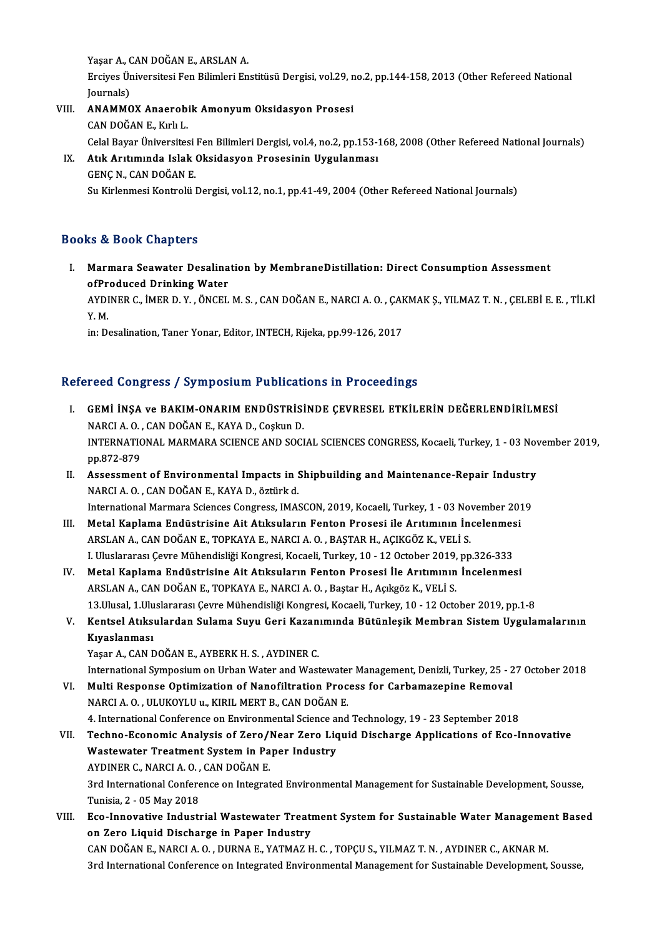Yaşar A., CAN DOĞAN E., ARSLAN A. Yaşar A., CAN DOĞAN E., ARSLAN A.<br>Erciyes Üniversitesi Fen Bilimleri Enstitüsü Dergisi, vol.29, no.2, pp.144-158, 2013 (Other Refereed National Yaşar A., (<br>Erciyes Ür<br>Journals)<br>ANAMAC Erciyes Üniversitesi Fen Bilimleri Enstitüsü Dergisi, vol.29, n<br>Journals)<br>VIII. ANAMMOX Anaerobik Amonyum Oksidasyon Prosesi<br>CAN DOČAN E. Kulu I.

- Journals)<br>VIII. ANAMMOX Anaerobik Amonyum Oksidasyon Prosesi<br>CAN DOĞAN E., Kırlı L. Celal Bayar Üniversitesi Fen Bilimleri Dergisi, vol.4, no.2, pp.153-168, 2008 (Other Refereed National Journals) CAN DOĞAN E., Kırlı L.<br>17. Celal Bayar Üniversitesi Fen Bilimleri Dergisi, vol.4, no.2, pp.153-2<br>17. Atık Arıtımında Islak Oksidasyon Prosesinin Uygulanması<br>17. CENCN, CAN DOĞAN E
- Celal Bayar Üniversitesi<br>Atık Arıtımında Islak<br>GENÇ N., CAN DOĞAN E.<br>Su Kirlenmesi Kentrolü I GENÇ N., CAN DOĞAN E.<br>Su Kirlenmesi Kontrolü Dergisi, vol.12, no.1, pp.41-49, 2004 (Other Refereed National Journals)

## Books&Book Chapters

ooks & Book Chapters<br>I. Marmara Seawater Desalination by MembraneDistillation: Direct Consumption Assessment<br>Aspectueed Drinking Weter soft Cook Chapters<br>Marmara Seawater Desalina<br>ofProduced Drinking Water<br>AVDINER C. IMER D. V. ÖNCEL Marmara Seawater Desalination by MembraneDistillation: Direct Consumption Assessment<br>ofProduced Drinking Water<br>AYDINER C., İMER D. Y. , ÖNCEL M. S. , CAN DOĞAN E., NARCI A. O. , ÇAKMAK Ş., YILMAZ T. N. , ÇELEBİ E. E. , TİL

of<mark>Pr</mark><br>AYDI<br>Y. M.<br>in: D. AYDINER C., İMER D. Y. , ÖNCEL M. S. , CAN DOĞAN E., NARCI A. O. , ÇAI<br>Y. M.<br>in: Desalination, Taner Yonar, Editor, INTECH, Rijeka, pp.99-126, 2017

# in: Desalination, Taner Yonar, Editor, INTECH, Rijeka, pp.99-126, 2017<br>Refereed Congress / Symposium Publications in Proceedings

- efereed Congress / Symposium Publications in Proceedings<br>I. GEMİ İNŞA ve BAKIM-ONARIM ENDÜSTRİSİNDE ÇEVRESEL ETKİLERİN DEĞERLENDİRİLMESİ<br>NARÇI A O. CANDOĞAN E. KAYA D. Gerkin D. NARCI A.O., CANDOĞANE., KAYA D., Coşkun D.<br>NARCI A.O., CAN DOĞAN E., KAYA D., Coşkun D.<br>NARCI A.O., CAN DOĞAN E., KAYA D., Coşkun D. INTERNATIONAL MARMARA SCIENCE AND SOCIAL SCIENCES CONGRESS, Kocaeli, Turkey, 1 - 03 November 2019,<br>pp.872-879 NARCI A.O., CAN DOĞAN E., KAYA D., Coşkun D. INTERNATIONAL MARMARA SCIENCE AND SOCIAL SCIENCES CONGRESS, Kocaeli, Turkey, 1 - 03 Nov<br>pp.872-879<br>II. Assessment of Environmental Impacts in Shipbuilding and Maintenance-Repair Industry<br>NARCLA O. CAN DOČAN E. KAYA D. Stri
- pp.872-879<br>Assessment of Environmental Impacts in !<br>NARCI A. O. , CAN DOĞAN E., KAYA D., öztürk d.<br>International Mermare Sciences Congress IMA! Assessment of Environmental Impacts in Shipbuilding and Maintenance-Repair Industry<br>NARCI A. O. , CAN DOĞAN E., KAYA D., öztürk d.<br>International Marmara Sciences Congress, IMASCON, 2019, Kocaeli, Turkey, 1 - 03 November 20 NARCI A. O. , CAN DOĞAN E., KAYA D., öztürk d.<br>International Marmara Sciences Congress, IMASCON, 2019, Kocaeli, Turkey, 1 - 03 November 201<br>III. Metal Kaplama Endüstrisine Ait Atıksuların Fenton Prosesi ile Arıtımının İnce
- International Marmara Sciences Congress, IMASCON, 2019, Kocaeli, Turkey, 1 03 November 2019<br>Metal Kaplama Endüstrisine Ait Atıksuların Fenton Prosesi ile Arıtımının İncelenmesi<br>ARSLAN A., CAN DOĞAN E., TOPKAYA E., NARCI Metal Kaplama Endüstrisine Ait Atıksuların Fenton Prosesi ile Arıtımının İncelenmes<br>ARSLAN A., CAN DOĞAN E., TOPKAYA E., NARCI A. O. , BAŞTAR H., AÇIKGÖZ K., VELİ S.<br>I. Uluslararası Çevre Mühendisliği Kongresi, Kocaeli, Tu ARSLAN A., CAN DOĞAN E., TOPKAYA E., NARCI A. O. , BAŞTAR H., AÇIKGÖZ K., VELİ S.<br>I. Uluslararası Çevre Mühendisliği Kongresi, Kocaeli, Turkey, 10 - 12 October 2019, pp.326-333<br>IV. Metal Kaplama Endüstrisine Ait Atıksuları
- ARSLAN A., CAN DOĞAN E., TOPKAYA E., NARCI A. O. , Baştar H., Açıkgöz K., VELİ S.<br>13.Ulusal, 1.Uluslararası Cevre Mühendisliği Kongresi, Kocaeli, Turkey, 10 12 October 2019, pp.1-8 Metal Kaplama Endüstrisine Ait Atıksuların Fenton Prosesi İle Arıtımının İncelenmesi<br>ARSLAN A., CAN DOĞAN E., TOPKAYA E., NARCI A. O. , Baştar H., Açıkgöz K., VELİ S.<br>13.Ulusal, 1.Uluslararası Çevre Mühendisliği Kongresi, ARSLAN A., CAN DOĞAN E., TOPKAYA E., NARCI A. O. , Baştar H., Açıkgöz K., VELİ S.<br>13.Ulusal, 1.Uluslararası Çevre Mühendisliği Kongresi, Kocaeli, Turkey, 10 - 12 October 2019, pp.1-8<br>1. Kentsel Atıksulardan Sulama Suyu Ger
- 13.Ulusal, 1.Ulu<br>Kentsel Atıksı<br>Kıyaslanması<br><sup>Voçor A</sup>. CAN E Kentsel Atıksulardan Sulama Suyu Geri Kazan<br>Kıyaslanması<br>Yaşar A., CAN DOĞAN E., AYBERK H. S. , AYDINER C.<br>International Sumnesium en Urban Weter and West Kı<mark>yaslanması</mark><br>Yaşar A., CAN DOĞAN E., AYBERK H. S. , AYDINER C.<br>International Symposium on Urban Water and Wastewater Management, Denizli, Turkey, 25 - 27 October 2018

- Yaşar A., CAN DOĞAN E., AYBERK H. S. , AYDINER C.<br>International Symposium on Urban Water and Wastewater Management, Denizli, Turkey, 25 2<br>VI. Multi Response Optimization of Nanofiltration Process for Carbamazepine Remova International Symposium on Urban Water and Wastewate<br>Multi Response Optimization of Nanofiltration Proc<br>NARCI A. O. , ULUKOYLU u., KIRIL MERT B., CAN DOĞAN E.<br>4. International Conference on Environmental Science and Multi Response Optimization of Nanofiltration Process for Carbamazepine Removal<br>NARCI A. O. , ULUKOYLU u., KIRIL MERT B., CAN DOĞAN E.<br>4. International Conference on Environmental Science and Technology, 19 - 23 September
- NARCI A. O. , ULUKOYLU u., KIRIL MERT B., CAN DOĞAN E.<br>4. International Conference on Environmental Science and Technology, 19 23 September 2018<br>VII. Techno-Economic Analysis of Zero/Near Zero Liquid Discharge Applic 4. International Conference on Environmental Science a<br>Techno-Economic Analysis of Zero/Near Zero Lic<br>Wastewater Treatment System in Paper Industry<br>AVDINER G. NARCLA O. GAN DOČAN E Techno-Economic Analysis of Zero/l<br>Wastewater Treatment System in Pa<br>AYDINER C., NARCI A. O. , CAN DOĞAN E.<br><sup>2nd</sup> International Conference on Integrat Wastewater Treatment System in Paper Industry<br>AYDINER C., NARCI A. O. , CAN DOĞAN E.<br>3rd International Conference on Integrated Environmental Management for Sustainable Development, Sousse,<br>Tunisia 2, .0E May 2019 AYDINER C., NARCI A. O. ,<br>3rd International Confere<br>Tunisia, 2 - 05 May 2018<br>Ese Innovative Industi 3rd International Conference on Integrated Environmental Management for Sustainable Development, Sousse,<br>Tunisia, 2 - 05 May 2018<br>VIII. Eco-Innovative Industrial Wastewater Treatment System for Sustainable Water Management
- Tunisia, 2 05 May 2018<br>Eco-Innovative Industrial Wastewater Treati<br>on Zero Liquid Discharge in Paper Industry<br>CAN DOČAN E NAPCLA O, DUPNA E VATMAZ H Eco-Innovative Industrial Wastewater Treatment System for Sustainable Water Manageme:<br>on Zero Liquid Discharge in Paper Industry<br>CAN DOĞAN E., NARCI A.O., DURNA E., YATMAZ H. C. , TOPÇU S., YILMAZ T. N. , AYDINER C., AKNAR on Zero Liquid Discharge in Paper Industry<br>CAN DOĞAN E., NARCI A. O. , DURNA E., YATMAZ H. C. , TOPÇU S., YILMAZ T. N. , AYDINER C., AKNAR M.<br>3rd International Conference on Integrated Environmental Management for Sustaina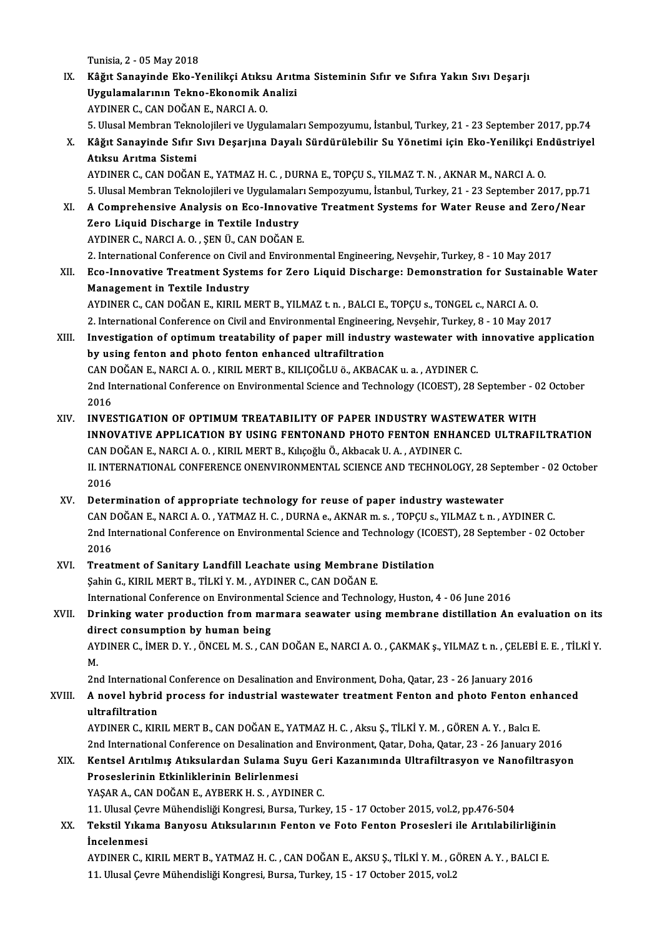Tunisia,2 -05May2018

IX. Kâğıt Sanayinde Eko-Yenilikçi Atıksu Arıtma Sisteminin Sıfır ve Sıfıra Yakın Sıvı Deşarjı Tunisia, 2 - 05 May 2018<br>Kâğıt Sanayinde Eko-Yenilikçi Atıksu Arıtı<br>Uygulamalarının Tekno-Ekonomik Analizi<br>AYDINER G. GAN DOČAN E. NARCLA O Kâğıt Sanayinde Eko-Yenilikçi Atıksı<br>Uygulamalarının Tekno-Ekonomik A<br>AYDINER C., CAN DOĞAN E., NARCI A. O.<br>E. Ulucel Membran Telmoleiileri ve Uygu <mark>Uygulamalarının Tekno-Ekonomik Analizi</mark><br>AYDINER C., CAN DOĞAN E., NARCI A. O.<br>5. Ulusal Membran Teknolojileri ve Uygulamaları Sempozyumu, İstanbul, Turkey, 21 - 23 September 2017, pp.74<br>Kâğıt Sanayinde Sıfır Suy Desarina

AYDINER C., CAN DOĞAN E., NARCI A. O.<br>5. Ulusal Membran Teknolojileri ve Uygulamaları Sempozyumu, İstanbul, Turkey, 21 - 23 September 2017, pp.74<br>8. Kâğıt Sanayinde Sıfır Sıvı Deşarjına Dayalı Sürdürülebilir Su Yönetimi iç 5. Ulusal Membran Tekne<br>Kâğıt Sanayinde Sıfır<br>Atıksu Arıtma Sistemi<br>AYDINER C. GAN DOČAN

AYDINERC.,CANDOĞANE.,YATMAZH.C. ,DURNAE.,TOPÇUS.,YILMAZ T.N. ,AKNARM.,NARCIA.O. Atıksu Arıtma Sistemi<br>AYDINER C., CAN DOĞAN E., YATMAZ H. C. , DURNA E., TOPÇU S., YILMAZ T. N. , AKNAR M., NARCI A. O.<br>5. Ulusal Membran Teknolojileri ve Uygulamaları Sempozyumu, İstanbul, Turkey, 21 - 23 September 2017, AYDINER C., CAN DOĞAN E., YATMAZ H. C. , DURNA E., TOPÇU S., YILMAZ T. N. , AKNAR M., NARCI A. O.<br>5. Ulusal Membran Teknolojileri ve Uygulamaları Sempozyumu, İstanbul, Turkey, 21 - 23 September 2017, pp.71<br>XI. A Comprehens

- 5. Ulusal Membran Teknolojileri ve Uygulamalar<br>A Comprehensive Analysis on Eco-Innovat<br>Zero Liquid Discharge in Textile Industry<br>AYDINER C. NARCLA O. SEN Ü. CAN DOČAN E XI. A Comprehensive Analysis on Eco-Innovative Treatment Systems for Water Reuse and Zero/Near<br>Zero Liquid Discharge in Textile Industry<br>AYDINER C., NARCI A. O. , SEN Ü., CAN DOĞAN E. 2. International Conference on Civil and Environmental Engineering, Nevşehir, Turkey, 8 - 10 May 2017
- AYDINER C., NARCI A. O. , ŞEN Ü., CAN DOĞAN E.<br>2. International Conference on Civil and Environmental Engineering, Nevşehir, Turkey, 8 10 May 2017<br>XII. Eco-Innovative Treatment Systems for Zero Liquid Discharge: Demo 2. International Conference on Civil a<br>Eco-Innovative Treatment System<br>Management in Textile Industry<br>AVDINER C. CAN DOČAN E. KIPH M Eco-Innovative Treatment Systems for Zero Liquid Discharge: Demonstration for Sustair<br>Management in Textile Industry<br>AYDINER C., CAN DOĞAN E., KIRIL MERT B., YILMAZ t.n. , BALCI E., TOPÇU s., TONGEL c., NARCI A. O.<br>2. Inte Management in Textile Industry<br>AYDINER C., CAN DOĞAN E., KIRIL MERT B., YILMAZ t. n. , BALCI E., TOPÇU s., TONGEL c., NARCI A. O.<br>2. International Conference on Civil and Environmental Engineering, Nevşehir, Turkey, 8 - 10

- AYDINER C., CAN DOĞAN E., KIRIL MERT B., YILMAZ t. n. , BALCI E., TOPÇU s., TONGEL c., NARCI A. O.<br>2. International Conference on Civil and Environmental Engineering, Nevşehir, Turkey, 8 10 May 2017<br>XIII. Investigation o 2. International Conference on Civil and Environmental Engineering<br>Investigation of optimum treatability of paper mill industry<br>by using fenton and photo fenton enhanced ultrafiltration<br>CAN DOČAN E, NAPCLA O, KIPU, MERT P, Investigation of optimum treatability of paper mill industry wastewater with<br>by using fenton and photo fenton enhanced ultrafiltration<br>CAN DOĞAN E., NARCI A. O. , KIRIL MERT B., KILIÇOĞLU ö., AKBACAK u. a. , AYDINER C.<br>2nd by using fenton and photo fenton enhanced ultrafiltration<br>CAN DOĞAN E., NARCI A.O., KIRIL MERT B., KILIÇOĞLU ö., AKBACAK u. a., AYDINER C.<br>2nd International Conference on Environmental Science and Technology (ICOEST), 28 S CAN DOĞAN E., NARCI A. O., KIRIL MERT B., KILIÇOĞLU ö., AKBACAK u. a., AYDINER C. 2nd International Conference on Environmental Science and Technology (ICOEST), 28 September - 0<br>2016<br>XIV. INVESTIGATION OF OPTIMUM TREATABILITY OF PAPER INDUSTRY WASTEWATER WITH
- INNOVATIVE APPLICATION BY USING FENTONAND PHOTO FENTON ENHANCED ULTRAFILTRATION<br>CAN DOĞAN E., NARCI A. O., KIRIL MERT B., Kılıçoğlu Ö., Akbacak U. A., AYDINER C. INVESTIGATION OF OPTIMUM TREATABILITY OF PAPER INDUSTRY WASTI<br>INNOVATIVE APPLICATION BY USING FENTONAND PHOTO FENTON ENHA<br>CAN DOĞAN E., NARCI A. O. , KIRIL MERT B., Kılıçoğlu Ö., Akbacak U. A. , AYDINER C.<br>IL INTERNATIONAL INNOVATIVE APPLICATION BY USING FENTONAND PHOTO FENTON ENHANCED ULTRAFILTRATION<br>CAN DOĞAN E., NARCI A. O. , KIRIL MERT B., Kılıçoğlu Ö., Akbacak U. A. , AYDINER C.<br>II. INTERNATIONAL CONFERENCE ONENVIRONMENTAL SCIENCE AND T CAN D<br>II. INT<br>2016<br>Deter
- XV. Determination of appropriate technology for reuse of paper industry wastewater 2016<br>Determination of appropriate technology for reuse of paper industry wastewater<br>CAN DOĞAN E., NARCI A. O. , YATMAZ H. C. , DURNA e., AKNAR m. s. , TOPÇU s., YILMAZ t. n. , AYDINER C.<br>2nd International Conference on Env Determination of appropriate technology for reuse of paper industry wastewater<br>CAN DOĞAN E., NARCI A. O. , YATMAZ H. C. , DURNA e., AKNAR m. s. , TOPÇU s., YILMAZ t. n. , AYDINER C.<br>2nd International Conference on Environm CAN D<br>2nd In<br>2016<br>Treet 2nd International Conference on Environmental Science and Technology (ICO<br>2016<br>XVI. Treatment of Sanitary Landfill Leachate using Membrane Distilation<br>Sobin C. KIBU MERT B. TU KU M. AVDINER C. CAN DOČAN E
- 2016<br>Treatment of Sanitary Landfill Leachate using Membrane<br>Şahin G., KIRIL MERT B., TİLKİ Y. M. , AYDINER C., CAN DOĞAN E.<br>International Conference on Environmental Science and Technol. Sahin G., KIRIL MERT B., TİLKİ Y. M. , AYDINER C., CAN DOĞAN E.<br>International Conference on Environmental Science and Technology, Huston, 4 - 06 June 2016 Sahin G., KIRIL MERT B., TİLKİ Y. M. , AYDINER C., CAN DOĞAN E.<br>International Conference on Environmental Science and Technology, Huston, 4 - 06 June 2016<br>XVII. Drinking water production from marmara seawater using mem
- International Conference on Environmen<br>Drinking water production from man<br>direct consumption by human being<br>AVDINER C. IMER B. V. ÖNCEL M. S. CA Drinking water production from marmara seawater using membrane distillation An evaluation on its<br>direct consumption by human being<br>AYDINER C., İMER D. Y. , ÖNCEL M. S. , CAN DOĞAN E., NARCI A. O. , ÇAKMAK ş., YILMAZ t. n. dii<br>AY<br>M. AYDINER C., İMER D. Y. , ÖNCEL M. S. , CAN DOĞAN E., NARCI A. O. , ÇAKMAK ş., YILMAZ t. n. , ÇELEBİ<br>M.<br>2nd International Conference on Desalination and Environment, Doha, Qatar, 23 - 26 January 2016<br>A novel bybrid prosess

2nd International Conference on Desalination and Environment, Doha, Qatar, 23 - 26 January 2016

# M.<br>2nd International Conference on Desalination and Environment, Doha, Qatar, 23 - 26 January 2016<br>XVIII. A novel hybrid process for industrial wastewater treatment Fenton and photo Fenton enhanced<br>ultrafiltration A novel hybrid process for industrial wastewater treatment Fenton and photo Fenton en<br>ultrafiltration<br>AYDINER C., KIRIL MERT B., CAN DOĞAN E., YATMAZ H. C. , Aksu Ş., TİLKİ Y. M. , GÖREN A. Y. , Balcı E.<br>2nd International

ultrafiltration<br>AYDINER C., KIRIL MERT B., CAN DOĞAN E., YATMAZ H. C. , Aksu Ş., TİLKİ Y. M. , GÖREN A. Y. , Balcı E.<br>2nd International Conference on Desalination and Environment, Qatar, Doha, Qatar, 23 - 26 January 2016<br>K AYDINER C., KIRIL MERT B., CAN DOĞAN E., YATMAZ H. C. , Aksu Ş., TİLKİ Y. M. , GÖREN A. Y. , Balcı E.<br>2nd International Conference on Desalination and Environment, Qatar, Doha, Qatar, 23 - 26 January 2016<br>XIX. Kentsel

2nd International Conference on Desalination and Environment, Qatar, Doha, Qatar, 23 - 26 January 2016<br>Kentsel Arıtılmış Atıksulardan Sulama Suyu Geri Kazanımında Ultrafiltrasyon ve Nanofiltrasyo<br>Proseslerinin Etkinlikleri Kentsel Arıtılmış Atıksulardan Sulama Suyu Geri Kazanımında Ultrafiltrasyon ve Nanofiltrasyon Proseslerinin Etkinliklerinin Belirlenmesi<br>YAŞAR A., CAN DOĞAN E., AYBERK H. S. , AYDINER C.<br>11. Ulusal Çevre Mühendisliği Kongresi, Bursa, Turkey, 15 - 17 October 2015, vol.2, pp.476-504<br>Tekstil Yıkama Banyasu, Atıksulanı

YAŞAR A., CAN DOĞAN E., AYBERK H. S. , AYDINER C.<br>11. Ulusal Çevre Mühendisliği Kongresi, Bursa, Turkey, 15 - 17 October 2015, vol.2, pp.476-504<br>XX. Tekstil Yıkama Banyosu Atıksularının Fenton ve Foto Fenton Prosesleri 11. Ulusal Çev<br>Tekstil Yıkar<br>İncelenmesi<br>AYDINER G. K Tekstil Yıkama Banyosu Atıksularının Fenton ve Foto Fenton Prosesleri ile Arıtılabilirliğini<br>İncelenmesi<br>AYDINER C., KIRIL MERT B., YATMAZ H. C. , CAN DOĞAN E., AKSU Ş., TİLKİ Y. M. , GÖREN A. Y. , BALCI E.<br>11 Ulucel Ceure

İncelenmesi<br>AYDINER C., KIRIL MERT B., YATMAZ H. C. , CAN DOĞAN E., AKSU Ş., TİLKİ Y. M. , GÖREN A. Y. , BALCI E.<br>11. Ulusal Çevre Mühendisliği Kongresi, Bursa, Turkey, 15 - 17 October 2015, vol.2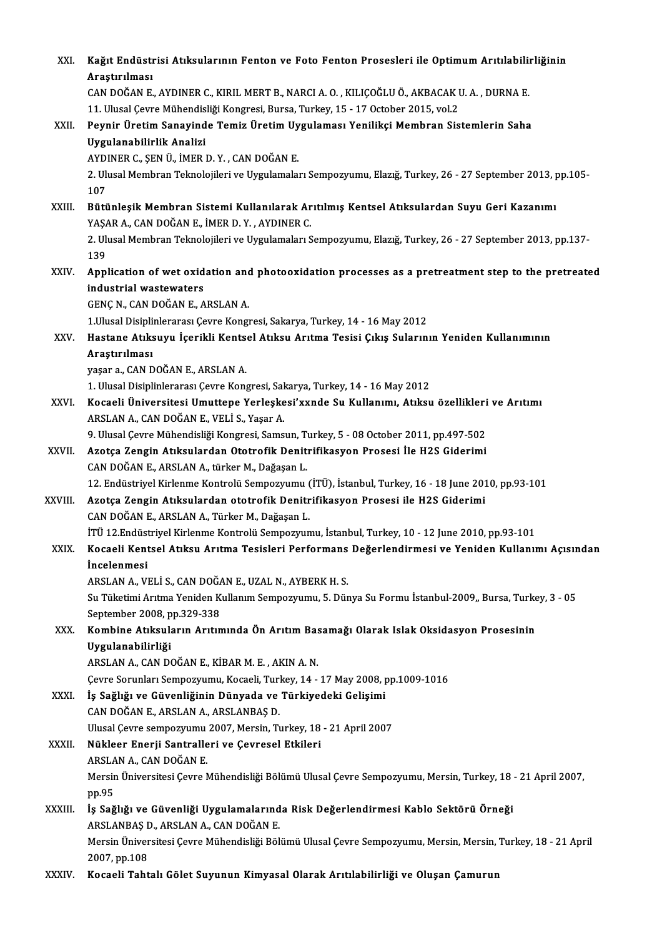| XXI.         | Kağıt Endüstrisi Atıksularının Fenton ve Foto Fenton Prosesleri ile Optimum Arıtılabilirliğinin                                 |
|--------------|---------------------------------------------------------------------------------------------------------------------------------|
|              | Araştırılması                                                                                                                   |
|              | CAN DOĞAN E., AYDINER C., KIRIL MERT B., NARCI A. O., KILIÇOĞLU Ö., AKBACAK U. A., DURNA E.                                     |
|              | 11. Ulusal Çevre Mühendisliği Kongresi, Bursa, Turkey, 15 - 17 October 2015, vol.2                                              |
| XXII.        | Peynir Üretim Sanayinde Temiz Üretim Uygulaması Yenilikçi Membran Sistemlerin Saha                                              |
|              | Uygulanabilirlik Analizi                                                                                                        |
|              | AYDINER C., ŞEN Ü., İMER D. Y., CAN DOĞAN E.                                                                                    |
|              | 2. Ulusal Membran Teknolojileri ve Uygulamaları Sempozyumu, Elazığ, Turkey, 26 - 27 September 2013, pp.105-<br>107              |
| XXIII.       | Bütünleşik Membran Sistemi Kullanılarak Arıtılmış Kentsel Atıksulardan Suyu Geri Kazanımı                                       |
|              | YAŞAR A., CAN DOĞAN E., İMER D.Y., AYDINER C.                                                                                   |
|              | 2. Ulusal Membran Teknolojileri ve Uygulamaları Sempozyumu, Elazığ, Turkey, 26 - 27 September 2013, pp.137-                     |
|              | 139                                                                                                                             |
| XXIV         | Application of wet oxidation and photooxidation processes as a pretreatment step to the pretreated                              |
|              | industrial wastewaters                                                                                                          |
|              | GENÇ N., CAN DOĞAN E., ARSLAN A.                                                                                                |
|              | 1. Ulusal Disiplinlerarası Çevre Kongresi, Sakarya, Turkey, 14 - 16 May 2012                                                    |
| XXV.         | Hastane Atıksuyu İçerikli Kentsel Atıksu Arıtma Tesisi Çıkış Sularının Yeniden Kullanımının                                     |
|              | Araştırılması                                                                                                                   |
|              | yaşar a., CAN DOĞAN E., ARSLAN A.                                                                                               |
|              | 1. Ulusal Disiplinlerarası Çevre Kongresi, Sakarya, Turkey, 14 - 16 May 2012                                                    |
| XXVI.        | Kocaeli Üniversitesi Umuttepe Yerleşkesi'xxnde Su Kullanımı, Atıksu özellikleri ve Arıtımı                                      |
|              | ARSLAN A., CAN DOĞAN E., VELİ S., Yaşar A.                                                                                      |
|              | 9. Ulusal Çevre Mühendisliği Kongresi, Samsun, Turkey, 5 - 08 October 2011, pp.497-502                                          |
| XXVII.       | Azotça Zengin Atıksulardan Ototrofik Denitrifikasyon Prosesi İle H2S Giderimi                                                   |
|              | CAN DOĞAN E., ARSLAN A., türker M., Dağaşan L.                                                                                  |
|              | 12. Endüstriyel Kirlenme Kontrolü Sempozyumu (İTÜ), İstanbul, Turkey, 16 - 18 June 2010, pp.93-101                              |
| XXVIII.      | Azotça Zengin Atıksulardan ototrofik Denitrifikasyon Prosesi ile H2S Giderimi<br>CAN DOĞAN E., ARSLAN A., Türker M., Dağaşan L. |
|              | İTÜ 12. Endüstriyel Kirlenme Kontrolü Sempozyumu, İstanbul, Turkey, 10 - 12 June 2010, pp.93-101                                |
| XXIX.        | Kocaeli Kentsel Atıksu Arıtma Tesisleri Performans Değerlendirmesi ve Yeniden Kullanımı Açısından                               |
|              | <i>incelenmesi</i>                                                                                                              |
|              | ARSLAN A., VELİ S., CAN DOĞAN E., UZAL N., AYBERK H. S.                                                                         |
|              | Su Tüketimi Arıtma Yeniden Kullanım Sempozyumu, 5. Dünya Su Formu İstanbul-2009,, Bursa, Turkey, 3 - 05                         |
|              | September 2008, pp.329-338                                                                                                      |
| XXX.         | Kombine Atıksuların Arıtımında Ön Arıtım Basamağı Olarak Islak Oksidasyon Prosesinin                                            |
|              | Uygulanabilirliği                                                                                                               |
|              | ARSLAN A., CAN DOĞAN E., KİBAR M. E., AKIN A. N.                                                                                |
|              | Çevre Sorunları Sempozyumu, Kocaeli, Turkey, 14 - 17 May 2008, pp.1009-1016                                                     |
| <b>XXXI</b>  | İş Sağlığı ve Güvenliğinin Dünyada ve Türkiyedeki Gelişimi                                                                      |
|              | CAN DOĞAN E., ARSLAN A., ARSLANBAŞ D.                                                                                           |
|              | Ulusal Çevre sempozyumu 2007, Mersin, Turkey, 18 - 21 April 2007                                                                |
| <b>XXXII</b> | Nükleer Enerji Santralleri ve Çevresel Etkileri                                                                                 |
|              | ARSLAN A., CAN DOĞAN E.                                                                                                         |
|              | Mersin Üniversitesi Çevre Mühendisliği Bölümü Ulusal Çevre Sempozyumu, Mersin, Turkey, 18 - 21 April 2007,                      |
|              | pp.95                                                                                                                           |
| XXXIII.      | İş Sağlığı ve Güvenliği Uygulamalarında Risk Değerlendirmesi Kablo Sektörü Örneği                                               |
|              | ARSLANBAŞ D., ARSLAN A., CAN DOĞAN E.                                                                                           |
|              | Mersin Üniversitesi Çevre Mühendisliği Bölümü Ulusal Çevre Sempozyumu, Mersin, Mersin, Turkey, 18 - 21 April                    |
|              | 2007, pp.108                                                                                                                    |
| XXXIV.       | Kocaeli Tahtalı Gölet Suyunun Kimyasal Olarak Arıtılabilirliği ve Oluşan Çamurun                                                |